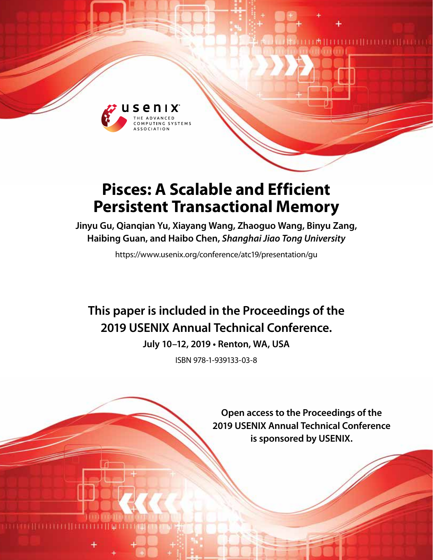

# **Pisces: A Scalable and Efficient Persistent Transactional Memory**

**Jinyu Gu, Qianqian Yu, Xiayang Wang, Zhaoguo Wang, Binyu Zang, Haibing Guan, and Haibo Chen,** *Shanghai Jiao Tong University*

https://www.usenix.org/conference/atc19/presentation/gu

# **This paper is included in the Proceedings of the 2019 USENIX Annual Technical Conference.**

**July 10–12, 2019 • Renton, WA, USA**

ISBN 978-1-939133-03-8

**Open access to the Proceedings of the 2019 USENIX Annual Technical Conference is sponsored by USENIX.**

土地口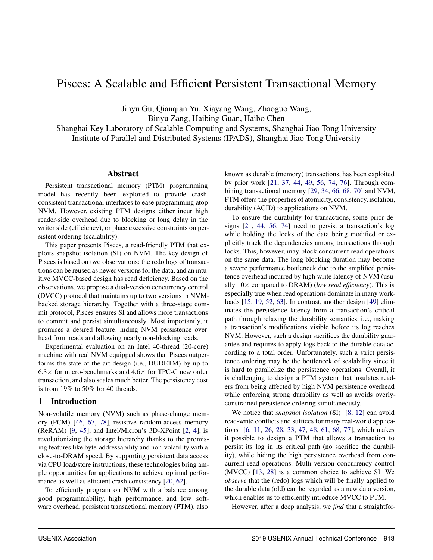# Pisces: A Scalable and Efficient Persistent Transactional Memory

Jinyu Gu, Qianqian Yu, Xiayang Wang, Zhaoguo Wang, Binyu Zang, Haibing Guan, Haibo Chen Shanghai Key Laboratory of Scalable Computing and Systems, Shanghai Jiao Tong University

Institute of Parallel and Distributed Systems (IPADS), Shanghai Jiao Tong University

#### Abstract

Persistent transactional memory (PTM) programming model has recently been exploited to provide crashconsistent transactional interfaces to ease programming atop NVM. However, existing PTM designs either incur high reader-side overhead due to blocking or long delay in the writer side (efficiency), or place excessive constraints on persistent ordering (scalability).

This paper presents Pisces, a read-friendly PTM that exploits snapshot isolation (SI) on NVM. The key design of Pisces is based on two observations: the redo logs of transactions can be reused as newer versions for the data, and an intuitive MVCC-based design has read deficiency. Based on the observations, we propose a dual-version concurrency control (DVCC) protocol that maintains up to two versions in NVMbacked storage hierarchy. Together with a three-stage commit protocol, Pisces ensures SI and allows more transactions to commit and persist simultaneously. Most importantly, it promises a desired feature: hiding NVM persistence overhead from reads and allowing nearly non-blocking reads.

Experimental evaluation on an Intel 40-thread (20-core) machine with real NVM equipped shows that Pisces outperforms the state-of-the-art design (i.e., DUDETM) by up to  $6.3\times$  for micro-benchmarks and  $4.6\times$  for TPC-C new order transaction, and also scales much better. The persistency cost is from 19% to 50% for 40 threads.

#### 1 Introduction

Non-volatile memory (NVM) such as phase-change memory (PCM) [\[46](#page-14-0), [67,](#page-15-0) [78\]](#page-16-0), resistive random-access memory (ReRAM) [\[9](#page-13-0), [45\]](#page-14-1), and Intel/Micron's 3D-XPoint [\[2,](#page-13-1) [4](#page-13-2)], is revolutionizing the storage hierarchy thanks to the promising features like byte-addressability and non-volatility with a close-to-DRAM speed. By supporting persistent data access via CPU load/store instructions, these technologies bring ample opportunities for applications to achieve optimal perfor-mance as well as efficient crash consistency [\[20](#page-13-3), [62](#page-15-1)].

To efficiently program on NVM with a balance among good programmability, high performance, and low software overhead, persistent transactional memory (PTM), also

known as durable (memory) transactions, has been exploited by prior work [\[21](#page-13-4), [37,](#page-14-2) [44](#page-14-3), [49,](#page-14-4) [56](#page-15-2), [74,](#page-16-1) [76\]](#page-16-2). Through combining transactional memory [\[29](#page-14-5), [34](#page-14-6), [66,](#page-15-3) [68,](#page-15-4) [70](#page-15-5)] and NVM, PTM offers the properties of atomicity, consistency, isolation, durability (ACID) to applications on NVM.

To ensure the durability for transactions, some prior designs [\[21](#page-13-4), [44](#page-14-3), [56](#page-15-2), [74\]](#page-16-1) need to persist a transaction's log while holding the locks of the data being modified or explicitly track the dependencies among transactions through locks. This, however, may block concurrent read operations on the same data. The long blocking duration may become a severe performance bottleneck due to the amplified persistence overhead incurred by high write latency of NVM (usually 10× compared to DRAM) (*low read efficiency*). This is especially true when read operations dominate in many workloads [\[15](#page-13-5), [19](#page-13-6), [52,](#page-15-6) [63\]](#page-15-7). In contrast, another design [\[49](#page-14-4)] eliminates the persistence latency from a transaction's critical path through relaxing the durability semantics, i.e., making a transaction's modifications visible before its log reaches NVM. However, such a design sacrifices the durability guarantee and requires to apply logs back to the durable data according to a total order. Unfortunately, such a strict persistence ordering may be the bottleneck of scalability since it is hard to parallelize the persistence operations. Overall, it is challenging to design a PTM system that insulates readers from being affected by high NVM persistence overhead while enforcing strong durability as well as avoids overlyconstrained persistence ordering simultaneously.

We notice that *snapshot isolation* (SI) [\[8,](#page-13-7) [12\]](#page-13-8) can avoid read-write conflicts and suffices for many real-world applications [\[6,](#page-13-9) [11,](#page-13-10) [26](#page-13-11), [28](#page-14-7), [33](#page-14-8), [47](#page-14-9), [48](#page-14-10), [61](#page-15-8), [68](#page-15-4), [77](#page-16-3)], which makes it possible to design a PTM that allows a transaction to persist its log in its critical path (no sacrifice the durability), while hiding the high persistence overhead from concurrent read operations. Multi-version concurrency control (MVCC) [\[13,](#page-13-12) [28](#page-14-7)] is a common choice to achieve SI. We *observe* that the (redo) logs which will be finally applied to the durable data (old) can be regarded as a new data version, which enables us to efficiently introduce MVCC to PTM.

However, after a deep analysis, we *find* that a straightfor-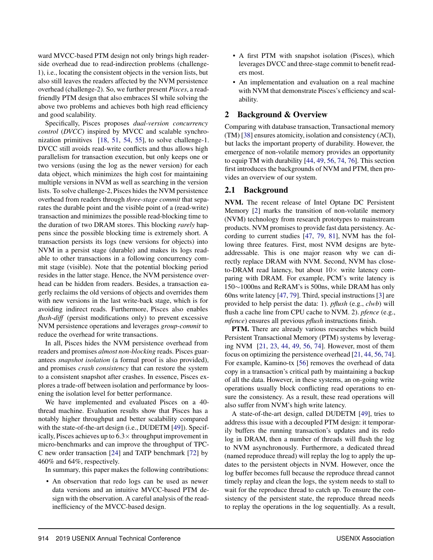ward MVCC-based PTM design not only brings high readerside overhead due to read-indirection problems (challenge-1), i.e., locating the consistent objects in the version lists, but also still leaves the readers affected by the NVM persistence overhead (challenge-2). So, we further present *Pisces*, a readfriendly PTM design that also embraces SI while solving the above two problems and achieves both high read efficiency and good scalability.

Specifically, Pisces proposes *dual-version concurrency control* (*DVCC*) inspired by MVCC and scalable synchronization primitives [\[18,](#page-13-13) [51](#page-15-9), [54,](#page-15-10) [55](#page-15-11)], to solve challenge-1. DVCC still avoids read-write conflicts and thus allows high parallelism for transaction execution, but only keeps one or two versions (using the log as the newer version) for each data object, which minimizes the high cost for maintaining multiple versions in NVM as well as searching in the version lists. To solve challenge-2, Pisces hides the NVM persistence overhead from readers through *three-stage commit* that separates the durable point and the visible point of a (read-write) transaction and minimizes the possible read-blocking time to the duration of two DRAM stores. This blocking *rarely* happens since the possible blocking time is extremely short. A transaction persists its logs (new versions for objects) into NVM in a persist stage (durable) and makes its logs readable to other transactions in a following concurrency commit stage (visible). Note that the potential blocking period resides in the latter stage. Hence, the NVM persistence overhead can be hidden from readers. Besides, a transaction eagerly reclaims the old versions of objects and overrides them with new versions in the last write-back stage, which is for avoiding indirect reads. Furthermore, Pisces also enables *flush-diff* (persist modifications only) to prevent excessive NVM persistence operations and leverages *group-commit* to reduce the overhead for write transactions.

In all, Pisces hides the NVM persistence overhead from readers and promises *almost non-blocking* reads. Pisces guarantees *snapshot isolation* (a formal proof is also provided), and promises *crash consistency* that can restore the system to a consistent snapshot after crashes. In essence, Pisces explores a trade-off between isolation and performance by loosening the isolation level for better performance.

We have implemented and evaluated Pisces on a 40 thread machine. Evaluation results show that Pisces has a notably higher throughput and better scalability compared with the state-of-the-art design (i.e., DUDETM [\[49\]](#page-14-4)). Specifically, Pisces achieves up to  $6.3 \times$  throughput improvement in micro-benchmarks and can improve the throughput of TPC-C new order transaction [\[24](#page-13-14)] and TATP benchmark [\[72](#page-15-12)] by 460% and 64%, respectively.

In summary, this paper makes the following contributions:

• An observation that redo logs can be used as newer data versions and an intuitive MVCC-based PTM design with the observation. A careful analysis of the readinefficiency of the MVCC-based design.

- A first PTM with snapshot isolation (Pisces), which leverages DVCC and three-stage commit to benefit readers most.
- An implementation and evaluation on a real machine with NVM that demonstrate Pisces's efficiency and scalability.

### 2 Background & Overview

Comparing with database transaction, Transactional memory (TM) [\[38](#page-14-11)] ensures atomicity, isolation and consistency (ACI), but lacks the important property of durability. However, the emergence of non-volatile memory provides an opportunity to equip TM with durability [\[44](#page-14-3), [49,](#page-14-4) [56,](#page-15-2) [74](#page-16-1), [76\]](#page-16-2). This section first introduces the backgrounds of NVM and PTM, then provides an overview of our system.

#### 2.1 Background

NVM. The recent release of Intel Optane DC Persistent Memory [\[2\]](#page-13-1) marks the transition of non-volatile memory (NVM) technology from research prototypes to mainstream products. NVM promises to provide fast data persistency. According to current studies [\[47,](#page-14-9) [79](#page-16-4), [81\]](#page-16-5), NVM has the following three features. First, most NVM designs are byteaddressable. This is one major reason why we can directly replace DRAM with NVM. Second, NVM has closeto-DRAM read latency, but about  $10\times$  write latency comparing with DRAM. For example, PCM's write latency is 150∼1000ns and ReRAM's is 500ns, while DRAM has only 60ns write latency [\[47](#page-14-9), [79\]](#page-16-4). Third, special instructions [\[3](#page-13-15)] are provided to help persist the data: 1). *pflush* (e.g., *clwb*) will flush a cache line from CPU cache to NVM. 2). *pfence* (e.g., *mfence*) ensures all previous *pflush* instructions finish.

PTM. There are already various researches which build Persistent Transactional Memory (PTM) systems by leveraging NVM [\[21](#page-13-4), [23](#page-13-16), [44,](#page-14-3) [49](#page-14-4), [56,](#page-15-2) [74](#page-16-1)]. However, most of them focus on optimizing the persistence overhead [\[21,](#page-13-4) [44](#page-14-3), [56](#page-15-2), [74\]](#page-16-1). For example, Kamino-tx [\[56\]](#page-15-2) removes the overhead of data copy in a transaction's critical path by maintaining a backup of all the data. However, in these systems, an on-going write operations usually block conflicting read operations to ensure the consistency. As a result, these read operations will also suffer from NVM's high write latency.

A state-of-the-art design, called DUDETM [\[49](#page-14-4)], tries to address this issue with a decoupled PTM design: it temporarily buffers the running transaction's updates and its redo log in DRAM, then a number of threads will flush the log to NVM asynchronously. Furthermore, a dedicated thread (named reproduce thread) will replay the log to apply the updates to the persistent objects in NVM. However, once the log buffer becomes full because the reproduce thread cannot timely replay and clean the logs, the system needs to stall to wait for the reproduce thread to catch up. To ensure the consistency of the persistent state, the reproduce thread needs to replay the operations in the log sequentially. As a result,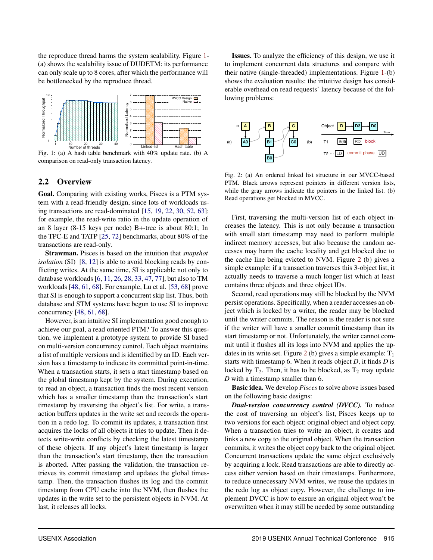the reproduce thread harms the system scalability. Figure [1-](#page-3-0) (a) shows the scalability issue of DUDETM: its performance can only scale up to 8 cores, after which the performance will be bottlenecked by the reproduce thread.

<span id="page-3-0"></span>

Fig. 1: (a) A hash table benchmark with 40% update rate. (b) A comparison on read-only transaction latency.

#### 2.2 Overview

Goal. Comparing with existing works, Pisces is a PTM system with a read-friendly design, since lots of workloads using transactions are read-dominated [\[15](#page-13-5), [19,](#page-13-6) [22,](#page-13-17) [30,](#page-14-12) [52](#page-15-6), [63](#page-15-7)]: for example, the read-write ratio in the update operation of an 8 layer (8-15 keys per node) B+-tree is about 80:1; In the TPC-E and TATP [\[25](#page-13-18), [72](#page-15-12)] benchmarks, about 80% of the transactions are read-only.

Strawman. Pisces is based on the intuition that *snapshot isolation* (SI) [\[8](#page-13-7), [12](#page-13-8)] is able to avoid blocking reads by conflicting writes. At the same time, SI is applicable not only to database workloads [\[6](#page-13-9), [11,](#page-13-10) [26](#page-13-11), [28,](#page-14-7) [33](#page-14-8), [47,](#page-14-9) [77](#page-16-3)], but also to TM workloads [\[48,](#page-14-10) [61,](#page-15-8) [68](#page-15-4)]. For example, Lu et al. [\[53](#page-15-13), [68](#page-15-4)] prove that SI is enough to support a concurrent skip list. Thus, both database and STM systems have begun to use SI to improve concurrency [\[48,](#page-14-10) [61,](#page-15-8) [68\]](#page-15-4).

However, is an intuitive SI implementation good enough to achieve our goal, a read oriented PTM? To answer this question, we implement a prototype system to provide SI based on multi-version concurrency control. Each object maintains a list of multiple versions and is identified by an ID. Each version has a timestamp to indicate its committed point-in-time. When a transaction starts, it sets a start timestamp based on the global timestamp kept by the system. During execution, to read an object, a transaction finds the most recent version which has a smaller timestamp than the transaction's start timestamp by traversing the object's list. For write, a transaction buffers updates in the write set and records the operation in a redo log. To commit its updates, a transaction first acquires the locks of all objects it tries to update. Then it detects write-write conflicts by checking the latest timestamp of these objects. If any object's latest timestamp is larger than the transaction's start timestamp, then the transaction is aborted. After passing the validation, the transaction retrieves its commit timestamp and updates the global timestamp. Then, the transaction flushes its log and the commit timestamp from CPU cache into the NVM, then flushes the updates in the write set to the persistent objects in NVM. At last, it releases all locks.

Issues. To analyze the efficiency of this design, we use it to implement concurrent data structures and compare with their native (single-threaded) implementations. Figure [1-](#page-3-0)(b) shows the evaluation results: the intuitive design has considerable overhead on read requests' latency because of the following problems:

<span id="page-3-1"></span>

Fig. 2: (a) An ordered linked list structure in our MVCC-based PTM. Black arrows represent pointers in different version lists, while the gray arrows indicate the pointers in the linked list. (b) Read operations get blocked in MVCC.

First, traversing the multi-version list of each object increases the latency. This is not only because a transaction with small start timestamp may need to perform multiple indirect memory accesses, but also because the random accesses may harm the cache locality and get blocked due to the cache line being evicted to NVM. Figure [2](#page-3-1) (b) gives a simple example: if a transaction traverses this 3-object list, it actually needs to traverse a much longer list which at least contains three objects and three object IDs.

Second, read operations may still be blocked by the NVM persist operations. Specifically, when a reader accesses an object which is locked by a writer, the reader may be blocked until the writer commits. The reason is the reader is not sure if the writer will have a smaller commit timestamp than its start timestamp or not. Unfortunately, the writer cannot commit until it flushes all its logs into NVM and applies the up-dates in its write set. Figure [2](#page-3-1) (b) gives a simple example:  $T_1$ starts with timestamp 6. When it reads object *D*, it finds *D* is locked by  $T_2$ . Then, it has to be blocked, as  $T_2$  may update *D* with a timestamp smaller than 6.

Basic idea. We develop *Pisces* to solve above issues based on the following basic designs:

*Dual-version concurrency control (DVCC).* To reduce the cost of traversing an object's list, Pisces keeps up to two versions for each object: original object and object copy. When a transaction tries to write an object, it creates and links a new copy to the original object. When the transaction commits, it writes the object copy back to the original object. Concurrent transactions update the same object exclusively by acquiring a lock. Read transactions are able to directly access either version based on their timestamps. Furthermore, to reduce unnecessary NVM writes, we reuse the updates in the redo log as object copy. However, the challenge to implement DVCC is how to ensure an original object won't be overwritten when it may still be needed by some outstanding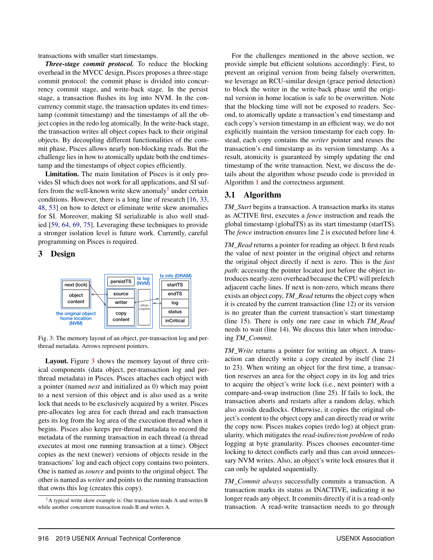transactions with smaller start timestamps.

*Three-stage commit protocol.* To reduce the blocking overhead in the MVCC design, Pisces proposes a three-stage commit protocol: the commit phase is divided into concurrency commit stage, and write-back stage. In the persist stage, a transaction flushes its log into NVM. In the concurrency commit stage, the transaction updates its end timestamp (commit timestamp) and the timestamps of all the object copies in the redo log atomically. In the write-back stage, the transaction writes all object copies back to their original objects. By decoupling different functionalities of the commit phase, Pisces allows nearly non-blocking reads. But the challenge lies in how to atomically update both the end timestamp and the timestamps of object copies efficiently.

Limitation. The main limitation of Pisces is it only provides SI which does not work for all applications, and SI suffers from the well-known write skew anomaly<sup>1</sup> under certain conditions. However, there is a long line of research [\[16,](#page-13-19) [33,](#page-14-8) [48,](#page-14-10) [53](#page-15-13)] on how to detect or eliminate write skew anomalies for SI. Moreover, making SI serializable is also well studied [\[59](#page-15-14), [64,](#page-15-15) [69,](#page-15-16) [75](#page-16-6)]. Leveraging these techniques to provide a stronger isolation level is future work. Currently, careful programming on Pisces is required.

#### <span id="page-4-0"></span>3 Design



Fig. 3: The memory layout of an object, per-transaction log and perthread metadata. Arrows represent pointers.

Layout. Figure [3](#page-4-0) shows the memory layout of three critical components (data object, per-transaction log and perthread metadata) in Pisces. Pisces attaches each object with a pointer (named *next* and initialized as 0) which may point to a next version of this object and is also used as a write lock that needs to be exclusively acquired by a writer. Pisces pre-allocates log area for each thread and each transaction gets its log from the log area of the execution thread when it begins. Pisces also keeps per-thread metadata to record the metadata of the running transaction in each thread (a thread executes at most one running transaction at a time). Object copies as the next (newer) versions of objects reside in the transactions' log and each object copy contains two pointers. One is named as *source* and points to the original object. The other is named as *writer* and points to the running transaction that owns this log (creates this copy).

For the challenges mentioned in the above section, we provide simple but efficient solutions accordingly: First, to prevent an original version from being falsely overwritten, we leverage an RCU-similar design (grace period detection) to block the writer in the write-back phase until the original version in home location is safe to be overwritten. Note that the blocking time will not be exposed to readers. Second, to atomically update a transaction's end timestamp and each copy's version timestamp in an efficient way, we do not explicitly maintain the version timestamp for each copy. Instead, each copy contains the *writer* pointer and reuses the transaction's end timestamp as its version timestamp. As a result, atomicity is guaranteed by simply updating the end timestamp of the write transaction. Next, we discuss the details about the algorithm whose pseudo code is provided in Algorithm [1](#page-5-0) and the correctness argument.

#### <span id="page-4-1"></span>3.1 Algorithm

*TM\_Start* begins a transaction. A transaction marks its status as ACTIVE first, executes a *fence* instruction and reads the global timestamp (globalTS) as its start timestamp (startTS). The *fence* instruction ensures line 2 is executed before line 4.

*TM\_Read* returns a pointer for reading an object. It first reads the value of next pointer in the original object and returns the original object directly if next is zero. This is the *fast path*: accessing the pointer located just before the object introduces nearly-zero overhead because the CPU will prefetch adjacent cache lines. If next is non-zero, which means there exists an object copy, *TM\_Read* returns the object copy when it is created by the current transaction (line 12) or its version is no greater than the current transaction's start timestamp (line 15). There is only one rare case in which *TM\_Read* needs to wait (line 14). We discuss this later when introducing *TM\_Commit*.

*TM\_Write* returns a pointer for writing an object. A transaction can directly write a copy created by itself (line 21 to 23). When writing an object for the first time, a transaction reserves an area for the object copy in its log and tries to acquire the object's write lock (i.e., next pointer) with a compare-and-swap instruction (line 25). If fails to lock, the transaction aborts and restarts after a random delay, which also avoids deadlocks. Otherwise, it copies the original object's content to the object copy and can directly read or write the copy now. Pisces makes copies (redo log) at object granularity, which mitigates the *read-indirection problem* of redo logging at byte granularity. Pisces chooses encounter-time locking to detect conflicts early and thus can avoid unnecessary NVM writes. Also, an object's write lock ensures that it can only be updated sequentially.

*TM\_Commit always* successfully commits a transaction. A transaction marks its status as INACTIVE, indicating it no longer reads any object. It commits directly if it is a read-only transaction. A read-write transaction needs to go through

 $<sup>1</sup>A$  typical write skew example is: One transaction reads A and writes B</sup> while another concurrent transaction reads B and writes A.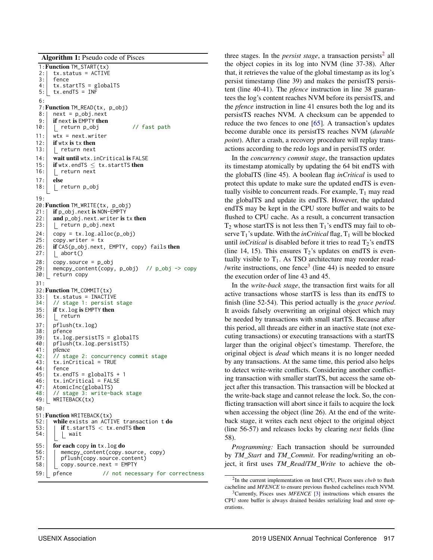Algorithm 1: Pseudo code of Pisces

```
1:Function TM_START(tx)
 2: tx. status = ACTIVE<br>3: fence3: fence<br>4: tx.st
 4: \mathsf{tx.startTS} = \mathsf{globalTS}<br>5: \mathsf{tx.endTS} = \mathsf{INF}5: tx.endTS = INF
 6:
 7: Function TM_READ(tx, p_obj)<br>8: | next = p_obj.next
        next = p\_obj.next9: \begin{array}{|c|c|c|c|}\n\hline\n9: & \text{if next is EMPTY then} \\
10: & \text{return } p\_obj\n\end{array}return p_obj // fast path
11: wtx = next.write12: \begin{array}{c} \n\text{if wtx is tx then} \\
\text{13:} \n\end{array}L return next
14: wait until wtx.inCritical is FALSE
15: if wtx.endTS \leq tx.startTS then<br>16: | return next
         1 return next
17: else<br>18: | r
         18: return p_obj
19:
20:Function TM_WRITE(tx, p_obj)
21: | if p_obj.next is NON-EMPTY
22: \begin{bmatrix} \nand \np_0\n\end{bmatrix}. next. writer is tx then
23: | return p_obj.next
24: \begin{array}{c} \text{copy} = \text{tx.log.alloc}(\text{p\_obj}) \\ \text{25:} \end{array}copy.writer = tx26: \left| \begin{array}{cc} \text{if CAS}(p\_obj.next, \text{ EMPTY}, \text{copy}) \text{ fails} \text{ then} \\ 27: & \text{abort}() \end{array} \right|| abort()
28: copy.source = p_obj
29: memcpy_content(copy, p_obj) // p_obj -> copy
30: return copy
31:
32: Function TM_COMMIT(tx)<br>33: 1 tx.status = INACTI\
        33: tx.status = INACTIVE
34: // stage 1: persist stage
35: if tx.log is EMPTY then
36: <u>[</u> return
37: pflush(tx.log)<br>38: pfence
38: pfence<br>39: tx.log
39: \begin{array}{c} \text{tx.log.} \text{persistTS} = \text{globalTS} \\ \text{40:} \end{array}40: pflush(tx.log.persistTS)
41: pfence
42: 7/ stage 2: concurrency commit stage<br>43: tx.inCritical = TRUE
         43: tx.inCritical = TRUE
44: fence<br>45: tx.en
45: \begin{array}{c} \text{tx.endTS = globalTS + 1} \\ \text{46:} \end{array} tx.inCritical = FALSE
         46: tx.inCritical = FALSE
47: AtomicInc(globalTS)<br>48: // stage 3: write-b
48: // stage 3: write-back stage<br>49: WRITEBACK(tx)
        WRITEBACK(tx)
50:
51:Function WRITEBACK(tx)
52: while exists an ACTIVE transaction t do 53: \mid if t.startTS \lt tx.endTS then
53: if t.startTS < tx.endTS then<br>54: \vert wait
             54: wait
55: for each copy in tx \cdot log do<br>56: \Box memcpy_content(copy.s
            memcpy_content(copy.source, copy)
57: pflush(copy.source.content)
58: copy.source.next = EMPTY
59: pfence // not necessary for correctness
```
three stages. In the *persist stage*, a transaction persists<sup>2</sup> all the object copies in its log into NVM (line 37-38). After that, it retrieves the value of the global timestamp as its log's persist timestamp (line 39) and makes the persistTS persistent (line 40-41). The *pfence* instruction in line 38 guarantees the log's content reaches NVM before its persistTS, and the *pfence* instruction in line 41 ensures both the log and its persistTS reaches NVM. A checksum can be appended to reduce the two fences to one [\[65](#page-15-17)]. A transaction's updates become durable once its persistTS reaches NVM (*durable point*). After a crash, a recovery procedure will replay transactions according to the redo logs and in persistTS order.

In the *concurrency commit stage*, the transaction updates its timestamp atomically by updating the 64 bit endTS with the globalTS (line 45). A boolean flag *inCritical* is used to protect this update to make sure the updated endTS is eventually visible to concurrent reads. For example,  $T_1$  may read the globalTS and update its endTS. However, the updated endTS may be kept in the CPU store buffer and waits to be flushed to CPU cache. As a result, a concurrent transaction  $T_2$  whose startTS is not less then  $T_1$ 's endTS may fail to observe  $T_1$ 's update. With the *inCritical* flag,  $T_1$  will be blocked until *inCritical* is disabled before it tries to read  $T_2$ 's endTS (line 14, 15). This ensures  $T_2$ 's updates on endTS is eventually visible to  $T_1$ . As TSO architecture may reorder read-/write instructions, one fence<sup>3</sup> (line 44) is needed to ensure the execution order of line 43 and 45.

In the *write-back stage*, the transaction first waits for all active transactions whose startTS is less than its endTS to finish (line 52-54). This period actually is the *grace period*. It avoids falsely overwriting an original object which may be needed by transactions with small startTS. Because after this period, all threads are either in an inactive state (not executing transactions) or executing transactions with a startTS larger than the original object's timestamp. Therefore, the original object is *dead* which means it is no longer needed by any transactions. At the same time, this period also helps to detect write-write conflicts. Considering another conflicting transaction with smaller startTS, but access the same object after this transaction. This transaction will be blocked at the write-back stage and cannot release the lock. So, the conflicting transaction will abort since it fails to acquire the lock when accessing the object (line 26). At the end of the writeback stage, it writes each next object to the original object (line 56-57) and releases locks by clearing *next* fields (line 58).

*Programming:* Each transaction should be surrounded by *TM\_Start* and *TM\_Commit*. For reading/writing an object, it first uses *TM\_Read*/*TM\_Write* to achieve the ob-

<sup>2</sup> In the current implementation on Intel CPU, Pisces uses *clwb* to flush cacheline and *MFENCE* to ensure previous flushed cachelines reach NVM.

<span id="page-5-0"></span><sup>3</sup>Currently, Pisces uses *MFENCE* [\[3\]](#page-13-15) instructions which ensures the CPU store buffer is always drained besides serializing load and store operations.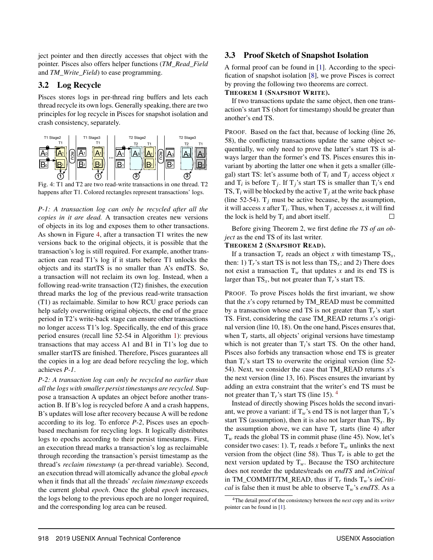ject pointer and then directly accesses that object with the pointer. Pisces also offers helper functions (*TM\_Read\_Field* and *TM\_Write\_Field*) to ease programming.

### 3.2 Log Recycle

Pisces stores logs in per-thread ring buffers and lets each thread recycle its own logs. Generally speaking, there are two principles for log recycle in Pisces for snapshot isolation and crash consistency, separately.

<span id="page-6-0"></span>

Fig. 4: T1 and T2 are two read-write transactions in one thread. T2 happens after T1. Colored rectangles represent transactions' logs.

*P-1: A transaction log can only be recycled after all the copies in it are dead.* A transaction creates new versions of objects in its log and exposes them to other transactions. As shown in Figure [4,](#page-6-0) after a transaction T1 writes the new versions back to the original objects, it is possible that the transaction's log is still required. For example, another transaction can read T1's log if it starts before T1 unlocks the objects and its startTS is no smaller than A's endTS. So, a transaction will not reclaim its own log. Instead, when a following read-write transaction (T2) finishes, the execution thread marks the log of the previous read-write transaction (T1) as reclaimable. Similar to how RCU grace periods can help safely overwriting original objects, the end of the grace period in T2's write-back stage can ensure other transactions no longer access T1's log. Specifically, the end of this grace period ensures (recall line 52-54 in Algorithm [1\)](#page-5-0): previous transactions that may access A1 and B1 in T1's log due to smaller startTS are finished. Therefore, Pisces guarantees all the copies in a log are dead before recycling the log, which achieves *P-1*.

*P-2: A transaction log can only be recycled no earlier than all the logs with smaller persist timestamps are recycled.* Suppose a transaction A updates an object before another transaction B. If B's log is recycled before A and a crash happens, B's updates will lose after recovery because A will be redone according to its log. To enforce *P-2*, Pisces uses an epochbased mechanism for recycling logs. It logically distributes logs to epochs according to their persist timestamps. First, an execution thread marks a transaction's log as reclaimable through recording the transaction's persist timestamp as the thread's *reclaim timestamp* (a per-thread variable). Second, an execution thread will atomically advance the global *epoch* when it finds that all the threads' *reclaim timestamp* exceeds the current global *epoch*. Once the global *epoch* increases, the logs belong to the previous epoch are no longer required, and the corresponding log area can be reused.

#### 3.3 Proof Sketch of Snapshot Isolation

A formal proof can be found in [\[1](#page-13-20)]. According to the specification of snapshot isolation [\[8\]](#page-13-7), we prove Pisces is correct by proving the following two theorems are correct.

#### THEOREM 1 (SNAPSHOT WRITE).

If two transactions update the same object, then one transaction's start TS (short for timestamp) should be greater than another's end TS.

PROOF*.* Based on the fact that, because of locking (line 26, 58), the conflicting transactions update the same object sequentially, we only need to prove the latter's start TS is always larger than the former's end TS. Pisces ensures this invariant by aborting the latter one when it gets a smaller (illegal) start TS: let's assume both of  $T_i$  and  $T_j$  access object *x* and  $T_i$  is before  $T_j$ . If  $T_j$ 's start TS is smaller than  $T_i$ 's end TS,  $T_i$  will be blocked by the active  $T_i$  at the write back phase (line 52-54).  $T_i$  must be active because, by the assumption, it will access *x* after  $T_i$ . Thus, when  $T_j$  accesses *x*, it will find the lock is held by  $T_i$  and abort itself.  $\Box$ 

Before giving Theorem 2, we first define *the TS of an object* as the end TS of its last writer.

#### THEOREM 2 (SNAPSHOT READ).

If a transaction  $T_r$  reads an object *x* with timestamp  $TS_r$ , then: 1)  $T_r$ 's start TS is not less than  $TS_x$ ; and 2) There does not exist a transaction  $T_w$  that updates *x* and its end TS is larger than  $TS_x$ , but not greater than  $T_r$ 's start TS.

PROOF*.* To prove Pisces holds the first invariant, we show that the *x*'s copy returned by TM\_READ must be committed by a transaction whose end TS is not greater than T*r*'s start TS. First, considering the case TM\_READ returns *x*'s original version (line 10, 18). On the one hand, Pisces ensures that, when  $T_r$  starts, all objects' original versions have timestamp which is not greater than  $T_i$ 's start TS. On the other hand, Pisces also forbids any transaction whose end TS is greater than T*i*'s start TS to overwrite the original version (line 52- 54). Next, we consider the case that TM\_READ returns *x*'s the next version (line 13, 16). Pisces ensures the invariant by adding an extra constraint that the writer's end TS must be not greater than  $T_r$ 's start TS (line 15). <sup>4</sup>

Instead of directly showing Pisces holds the second invariant, we prove a variant: if  $T_w$ 's end TS is not larger than  $T_r$ 's start TS (assumption), then it is also not larger than  $TS_x$ . By the assumption above, we can have  $T_r$  starts (line 4) after  $T_w$  reads the global TS in commit phase (line 45). Now, let's consider two cases: 1).  $T_r$  reads *x* before  $T_w$  unlinks the next version from the object (line 58). Thus  $T_r$  is able to get the next version updated by  $T_w$ . Because the TSO architecture does not reorder the updates/reads on *endTS* and *inCritical* in TM\_COMMIT/TM\_READ, thus if T*<sup>r</sup>* finds T*w*'s *inCritical* is false then it must be able to observe T*w*'s *endTS*. As a

<sup>4</sup>The detail proof of the consistency between the *next* copy and its *writer* pointer can be found in [\[1](#page-13-20)].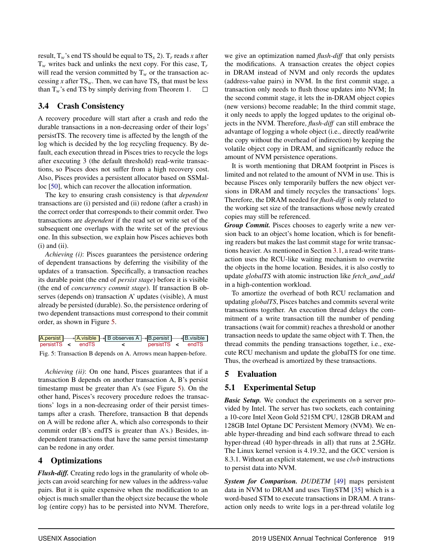result,  $T_w$ 's end TS should be equal to  $TS_x 2$ ).  $T_r$  reads *x* after T*<sup>w</sup>* writes back and unlinks the next copy. For this case, T*<sup>r</sup>* will read the version committed by  $T_w$  or the transaction accessing *x* after  $TS_w$ . Then, we can have  $TS_x$  that must be less than  $T_w$ 's end TS by simply deriving from Theorem 1. 口

## 3.4 Crash Consistency

A recovery procedure will start after a crash and redo the durable transactions in a non-decreasing order of their logs' persistTS. The recovery time is affected by the length of the log which is decided by the log recycling frequency. By default, each execution thread in Pisces tries to recycle the logs after executing 3 (the default threshold) read-write transactions, so Pisces does not suffer from a high recovery cost. Also, Pisces provides a persistent allocator based on SSMalloc [\[50\]](#page-15-18), which can recover the allocation information.

The key to ensuring crash consistency is that *dependent* transactions are (i) persisted and (ii) redone (after a crash) in the correct order that corresponds to their commit order. Two transactions are *dependent* if the read set or write set of the subsequent one overlaps with the write set of the previous one. In this subsection, we explain how Pisces achieves both  $(i)$  and  $(ii)$ .

*Achieving (i)*: Pisces guarantees the persistence ordering of dependent transactions by deferring the visibility of the updates of a transaction. Specifically, a transaction reaches its durable point (the end of *persist stage*) before it is visible (the end of *concurrency commit stage*). If transaction B observes (depends on) transaction A' updates (visible), A must already be persisted (durable). So, the persistence ordering of two dependent transactions must correspond to their commit order, as shown in Figure [5.](#page-7-0)

<span id="page-7-0"></span>

|                   |  | A.persist $\rightarrow$ A.visible $\rightarrow$ B observes A $\rightarrow$ B.persist $\rightarrow$ B.visible |                   |  |  |
|-------------------|--|--------------------------------------------------------------------------------------------------------------|-------------------|--|--|
| persistTS < endTS |  |                                                                                                              | persistTS < endTS |  |  |

Fig. 5: Transaction B depends on A. Arrows mean happen-before.

*Achieving (ii)*: On one hand, Pisces guarantees that if a transaction B depends on another transaction A, B's persist timestamp must be greater than A's (see Figure [5\)](#page-7-0). On the other hand, Pisces's recovery procedure redoes the transactions' logs in a non-decreasing order of their persist timestamps after a crash. Therefore, transaction B that depends on A will be redone after A, which also corresponds to their commit order (B's endTS is greater than A's.) Besides, independent transactions that have the same persist timestamp can be redone in any order.

# 4 Optimizations

*Flush-diff.* Creating redo logs in the granularity of whole objects can avoid searching for new values in the address-value pairs. But it is quite expensive when the modification to an object is much smaller than the object size because the whole log (entire copy) has to be persisted into NVM. Therefore,

we give an optimization named *flush-diff* that only persists the modifications. A transaction creates the object copies in DRAM instead of NVM and only records the updates (address-value pairs) in NVM. In the first commit stage, a transaction only needs to flush those updates into NVM; In the second commit stage, it lets the in-DRAM object copies (new versions) become readable; In the third commit stage, it only needs to apply the logged updates to the original objects in the NVM. Therefore, *flush-diff* can still embrace the advantage of logging a whole object (i.e., directly read/write the copy without the overhead of indirection) by keeping the volatile object copy in DRAM, and significantly reduce the amount of NVM persistence operations.

It is worth mentioning that DRAM footprint in Pisces is limited and not related to the amount of NVM in use. This is because Pisces only temporarily buffers the new object versions in DRAM and timely recycles the transactions' logs. Therefore, the DRAM needed for *flush-diff* is only related to the working set size of the transactions whose newly created copies may still be referenced.

*Group Commit.* Pisces chooses to eagerly write a new version back to an object's home location, which is for benefiting readers but makes the last commit stage for write transactions heavier. As mentioned in Section [3.1,](#page-4-1) a read-write transaction uses the RCU-like waiting mechanism to overwrite the objects in the home location. Besides, it is also costly to update *globalTS* with atomic instruction like *fetch\_and\_add* in a high-contention workload.

To amortize the overhead of both RCU reclamation and updating *globalTS*, Pisces batches and commits several write transactions together. An execution thread delays the commitment of a write transaction till the number of pending transactions (wait for commit) reaches a threshold or another transaction needs to update the same object with T. Then, the thread commits the pending transactions together, i.e., execute RCU mechanism and update the globalTS for one time. Thus, the overhead is amortized by these transactions.

# 5 Evaluation

# 5.1 Experimental Setup

*Basic Setup.* We conduct the experiments on a server provided by Intel. The server has two sockets, each containing a 10-core Intel Xeon Gold 5215M CPU, 128GB DRAM and 128GB Intel Optane DC Persistent Memory (NVM). We enable hyper-threading and bind each software thread to each hyper-thread (40 hyper-threads in all) that runs at 2.5GHz. The Linux kernel version is 4.19.32, and the GCC version is 8.3.1. Without an explicit statement, we use *clwb* instructions to persist data into NVM.

*System for Comparison. DUDETM* [\[49\]](#page-14-4) maps persistent data in NVM to DRAM and uses TinySTM [\[35](#page-14-13)] which is a word-based STM to execute transactions in DRAM. A transaction only needs to write logs in a per-thread volatile log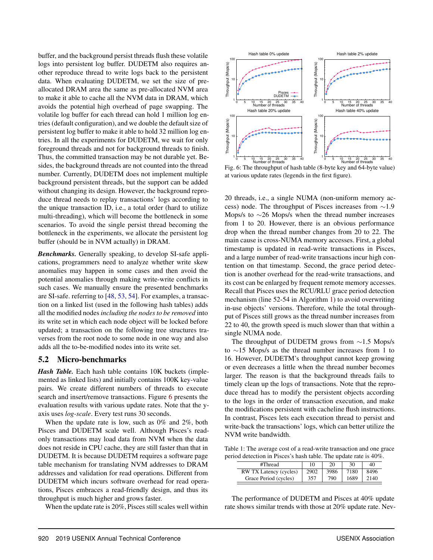buffer, and the background persist threads flush these volatile logs into persistent log buffer. DUDETM also requires another reproduce thread to write logs back to the persistent data. When evaluating DUDETM, we set the size of preallocated DRAM area the same as pre-allocated NVM area to make it able to cache all the NVM data in DRAM, which avoids the potential high overhead of page swapping. The volatile log buffer for each thread can hold 1 million log entries (default configuration), and we double the default size of persistent log buffer to make it able to hold 32 million log entries. In all the experiments for DUDETM, we wait for only foreground threads and not for background threads to finish. Thus, the committed transaction may be not durable yet. Besides, the background threads are not counted into the thread number. Currently, DUDETM does not implement multiple background persistent threads, but the support can be added without changing its design. However, the background reproduce thread needs to replay transactions' logs according to the unique transaction ID, i.e., a total order (hard to utilize multi-threading), which will become the bottleneck in some scenarios. To avoid the single persist thread becoming the bottleneck in the experiments, we allocate the persistent log buffer (should be in NVM actually) in DRAM.

*Benchmarks.* Generally speaking, to develop SI-safe applications, programmers need to analyze whether write skew anomalies may happen in some cases and then avoid the potential anomalies through making write-write conflicts in such cases. We manually ensure the presented benchmarks are SI-safe. referring to [\[48,](#page-14-10) [53,](#page-15-13) [54](#page-15-10)]. For examples, a transaction on a linked list (used in the following hash tables) adds all the modified nodes *including the nodes to be removed* into its write set in which each node object will be locked before updated; a transaction on the following tree structures traverses from the root node to some node in one way and also adds all the to-be-modified nodes into its write set.

#### 5.2 Micro-benchmarks

*Hash Table.* Each hash table contains 10K buckets (implemented as linked lists) and initially contains 100K key-value pairs. We create different numbers of threads to execute search and insert/remove transactions. Figure [6](#page-8-0) presents the evaluation results with various update rates. Note that the yaxis uses *log-scale*. Every test runs 30 seconds.

When the update rate is low, such as 0% and 2%, both Pisces and DUDETM scale well. Although Pisces's readonly transactions may load data from NVM when the data does not reside in CPU cache, they are still faster than that in DUDETM. It is because DUDETM requires a software page table mechanism for translating NVM addresses to DRAM addresses and validation for read operations. Different from DUDETM which incurs software overhead for read operations, Pisces embraces a read-friendly design, and thus its throughput is much higher and grows faster.

When the update rate is 20%, Pisces still scales well within

<span id="page-8-0"></span>

Fig. 6: The throughput of hash table (8-byte key and 64-byte value) at various update rates (legends in the first figure).

20 threads, i.e., a single NUMA (non-uniform memory access) node. The throughput of Pisces increases from ∼1.9 Mops/s to ∼26 Mops/s when the thread number increases from 1 to 20. However, there is an obvious performance drop when the thread number changes from 20 to 22. The main cause is cross-NUMA memory accesses. First, a global timestamp is updated in read-write transactions in Pisces, and a large number of read-write transactions incur high contention on that timestamp. Second, the grace period detection is another overhead for the read-write transactions, and its cost can be enlarged by frequent remote memory accesses. Recall that Pisces uses the RCU/RLU grace period detection mechanism (line 52-54 in Algorithm [1\)](#page-5-0) to avoid overwriting in-use objects' versions. Therefore, while the total throughput of Pisces still grows as the thread number increases from 22 to 40, the growth speed is much slower than that within a single NUMA node.

The throughput of DUDETM grows from ∼1.5 Mops/s to ∼15 Mops/s as the thread number increases from 1 to 16. However, DUDETM's throughput cannot keep growing or even decreases a little when the thread number becomes larger. The reason is that the background threads fails to timely clean up the logs of transactions. Note that the reproduce thread has to modify the persistent objects according to the logs in the order of transaction execution, and make the modifications persistent with cacheline flush instructions. In contrast, Pisces lets each execution thread to persist and write-back the transactions' logs, which can better utilize the NVM write bandwidth.

<span id="page-8-1"></span>Table 1: The average cost of a read-write transaction and one grace period detection in Pisces's hash table. The update rate is 40%.

| #Thread                | 10   | 20   | 30   | 40   |
|------------------------|------|------|------|------|
| RW TX Latency (cycles) | 2902 | 3986 | 7180 | 8496 |
| Grace Period (cycles)  |      | 790  | 1689 | 140  |

The performance of DUDETM and Pisces at 40% update rate shows similar trends with those at 20% update rate. Nev-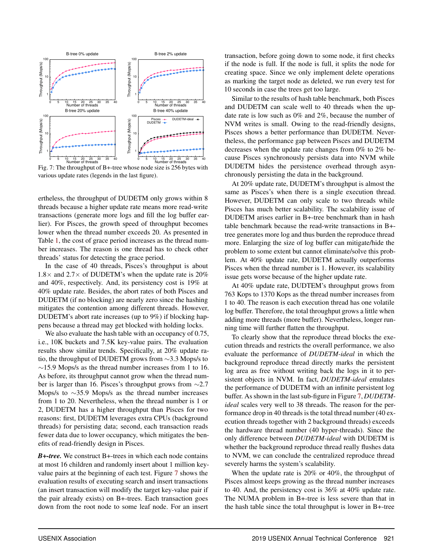<span id="page-9-0"></span>

Fig. 7: The throughput of B+-tree whose node size is 256 bytes with various update rates (legends in the last figure).

ertheless, the throughput of DUDETM only grows within 8 threads because a higher update rate means more read-write transactions (generate more logs and fill the log buffer earlier). For Pisces, the growth speed of throughput becomes lower when the thread number exceeds 20. As presented in Table [1,](#page-8-1) the cost of grace period increases as the thread number increases. The reason is one thread has to check other threads' status for detecting the grace period.

In the case of 40 threads, Pisces's throughput is about 1.8 $\times$  and 2.7 $\times$  of DUDETM's when the update rate is 20% and 40%, respectively. And, its persistency cost is 19% at 40% update rate. Besides, the abort rates of both Pisces and DUDETM (if no blocking) are nearly zero since the hashing mitigates the contention among different threads. However, DUDETM's abort rate increases (up to 9%) if blocking happens because a thread may get blocked with holding locks.

We also evaluate the hash table with an occupancy of 0.75, i.e., 10K buckets and 7.5K key-value pairs. The evaluation results show similar trends. Specifically, at 20% update ratio, the throughput of DUDETM grows from ∼3.3 Mops/s to  $\sim$ 15.9 Mops/s as the thread number increases from 1 to 16. As before, its throughput cannot grow when the thread number is larger than 16. Pisces's throughput grows from ∼2.7 Mops/s to ∼35.9 Mops/s as the thread number increases from 1 to 20. Nevertheless, when the thread number is 1 or 2, DUDETM has a higher throughput than Pisces for two reasons: first, DUDETM leverages extra CPUs (background threads) for persisting data; second, each transaction reads fewer data due to lower occupancy, which mitigates the benefits of read-friendly design in Pisces.

*B+-tree.* We construct B+-trees in which each node contains at most 16 children and randomly insert about 1 million keyvalue pairs at the beginning of each test. Figure [7](#page-9-0) shows the evaluation results of executing search and insert transactions (an insert transaction will modify the target key-value pair if the pair already exists) on B+-trees. Each transaction goes down from the root node to some leaf node. For an insert

transaction, before going down to some node, it first checks if the node is full. If the node is full, it splits the node for creating space. Since we only implement delete operations as marking the target node as deleted, we run every test for 10 seconds in case the trees get too large.

Similar to the results of hash table benchmark, both Pisces and DUDETM can scale well to 40 threads when the update rate is low such as 0% and 2%, because the number of NVM writes is small. Owing to the read-friendly designs, Pisces shows a better performance than DUDETM. Nevertheless, the performance gap between Pisces and DUDETM decreases when the update rate changes from 0% to 2% because Pisces synchronously persists data into NVM while DUDETM hides the persistence overhead through asynchronously persisting the data in the background.

At 20% update rate, DUDETM's throughput is almost the same as Pisces's when there is a single execution thread. However, DUDETM can only scale to two threads while Pisces has much better scalability. The scalability issue of DUDETM arises earlier in B+-tree benchmark than in hash table benchmark because the read-write transactions in B+ tree generates more log and thus burden the reproduce thread more. Enlarging the size of log buffer can mitigate/hide the problem to some extent but cannot eliminate/solve this problem. At 40% update rate, DUDETM actually outperforms Pisces when the thread number is 1. However, its scalability issue gets worse because of the higher update rate.

At 40% update rate, DUDTEM's throughput grows from 763 Kops to 1370 Kops as the thread number increases from 1 to 40. The reason is each execution thread has one volatile log buffer. Therefore, the total throughput grows a little when adding more threads (more buffer). Nevertheless, longer running time will further flatten the throughput.

To clearly show that the reproduce thread blocks the execution threads and restricts the overall performance, we also evaluate the performance of *DUDETM-ideal* in which the background reproduce thread directly marks the persistent log area as free without writing back the logs in it to persistent objects in NVM. In fact, *DUDETM-ideal* emulates the performance of DUDETM with an infinite persistent log buffer. As shown in the last sub-figure in Figure [7,](#page-9-0) *DUDETMideal* scales very well to 38 threads. The reason for the performance drop in 40 threads is the total thread number (40 execution threads together with 2 background threads) exceeds the hardware thread number (40 hyper-threads). Since the only difference between *DUDETM-ideal* with DUDETM is whether the background reproduce thread really flushes data to NVM, we can conclude the centralized reproduce thread severely harms the system's scalability.

When the update rate is 20% or 40%, the throughput of Pisces almost keeps growing as the thread number increases to 40. And, the persistency cost is 36% at 40% update rate. The NUMA problem in B+-tree is less severe than that in the hash table since the total throughput is lower in B+-tree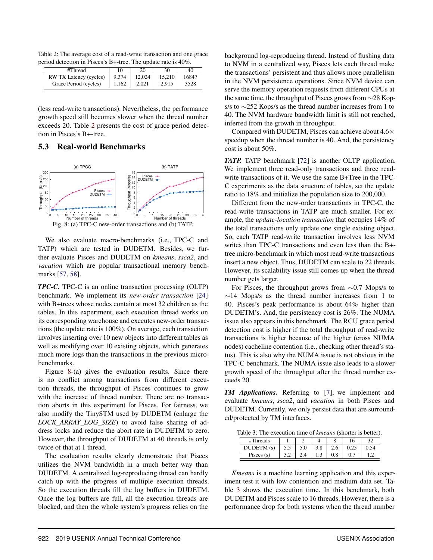<span id="page-10-0"></span>Table 2: The average cost of a read-write transaction and one grace period detection in Pisces's B+-tree. The update rate is 40%.

| #Thread                |       | 20     | 30 | 40    |
|------------------------|-------|--------|----|-------|
| RW TX Latency (cycles) | 9.374 | 12.024 |    | 16847 |
| Grace Period (cycles)  | 162   |        |    | 3528  |

(less read-write transactions). Nevertheless, the performance growth speed still becomes slower when the thread number exceeds 20. Table [2](#page-10-0) presents the cost of grace period detection in Pisces's B+-tree.

#### <span id="page-10-1"></span>5.3 Real-world Benchmarks



We also evaluate macro-benchmarks (i.e., TPC-C and TATP) which are tested in DUDETM. Besides, we further evaluate Pisces and DUDETM on *kmeans*, *ssca2*, and *vacation* which are popular transactional memory benchmarks [\[57](#page-15-19), [58](#page-15-20)].

*TPC-C.* TPC-C is an online transaction processing (OLTP) benchmark. We implement its *new-order transaction* [\[24\]](#page-13-14) with B+trees whose nodes contain at most 32 children as the tables. In this experiment, each execution thread works on its corresponding warehouse and executes new-order transactions (the update rate is 100%). On average, each transaction involves inserting over 10 new objects into different tables as well as modifying over 10 existing objects, which generates much more logs than the transactions in the previous microbenchmarks.

Figure [8-](#page-10-1)(a) gives the evaluation results. Since there is no conflict among transactions from different execution threads, the throughput of Pisces continues to grow with the increase of thread number. There are no transaction aborts in this experiment for Pisces. For fairness, we also modify the TinySTM used by DUDETM (enlarge the *LOCK\_ARRAY\_LOG\_SIZE*) to avoid false sharing of address locks and reduce the abort rate in DUDETM to zero. However, the throughput of DUDETM at 40 threads is only twice of that at 1 thread.

The evaluation results clearly demonstrate that Pisces utilizes the NVM bandwidth in a much better way than DUDETM. A centralized log-reproducing thread can hardly catch up with the progress of multiple execution threads. So the execution threads fill the log buffers in DUDETM. Once the log buffers are full, all the execution threads are blocked, and then the whole system's progress relies on the

background log-reproducing thread. Instead of flushing data to NVM in a centralized way, Pisces lets each thread make the transactions' persistent and thus allows more parallelism in the NVM persistence operations. Since NVM device can serve the memory operation requests from different CPUs at the same time, the throughput of Pisces grows from ∼28 Kops/s to ∼252 Kops/s as the thread number increases from 1 to 40. The NVM hardware bandwidth limit is still not reached, inferred from the growth in throughput.

Compared with DUDETM, Pisces can achieve about  $4.6\times$ speedup when the thread number is 40. And, the persistency cost is about 50%.

*TATP.* TATP benchmark [\[72](#page-15-12)] is another OLTP application. We implement three read-only transactions and three readwrite transactions of it. We use the same B+Tree in the TPC-C experiments as the data structure of tables, set the update ratio to 18% and initialize the population size to 200,000.

Different from the new-order transactions in TPC-C, the read-write transactions in TATP are much smaller. For example, the *update-location transaction* that occupies 14% of the total transactions only update one single existing object. So, each TATP read-write transaction involves less NVM writes than TPC-C transactions and even less than the B+ tree micro-benchmark in which most read-write transactions insert a new object. Thus, DUDETM can scale to 22 threads. However, its scalability issue still comes up when the thread number gets larger.

For Pisces, the throughput grows from ∼0.7 Mops/s to ∼14 Mops/s as the thread number increases from 1 to 40. Pisces's peak performance is about 64% higher than DUDETM's. And, the persistency cost is 26%. The NUMA issue also appears in this benchmark. The RCU grace period detection cost is higher if the total throughput of read-write transactions is higher because of the higher (cross NUMA nodes) cacheline contention (i.e., checking other thread's status). This is also why the NUMA issue is not obvious in the TPC-C benchmark. The NUMA issue also leads to a slower growth speed of the throughput after the thread number exceeds 20.

*TM Applications.* Referring to [\[7\]](#page-13-21), we implement and evaluate *kmeans*, *ssca2*, and *vacation* in both Pisces and DUDETM. Currently, we only persist data that are surrounded/protected by TM interfaces.

<span id="page-10-2"></span>Table 3: The execution time of *kmeans* (shorter is better).

| #Threads     |     |     |  |  |
|--------------|-----|-----|--|--|
|              | J.J | 3.8 |  |  |
| Pisces $(s)$ |     |     |  |  |

*Kmeans* is a machine learning application and this experiment test it with low contention and medium data set. Table [3](#page-10-2) shows the execution time. In this benchmark, both DUDETM and Pisces scale to 16 threads. However, there is a performance drop for both systems when the thread number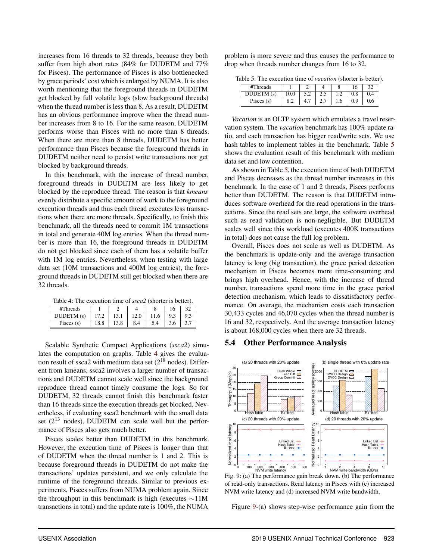increases from 16 threads to 32 threads, because they both suffer from high abort rates (84% for DUDETM and 77% for Pisces). The performance of Pisces is also bottlenecked by grace periods' cost which is enlarged by NUMA. It is also worth mentioning that the foreground threads in DUDETM get blocked by full volatile logs (slow background threads) when the thread number is less than 8. As a result, DUDETM has an obvious performance improve when the thread number increases from 8 to 16. For the same reason, DUDETM performs worse than Pisces with no more than 8 threads. When there are more than 8 threads, DUDETM has better performance than Pisces because the foreground threads in DUDETM neither need to persist write transactions nor get blocked by background threads.

In this benchmark, with the increase of thread number, foreground threads in DUDETM are less likely to get blocked by the reproduce thread. The reason is that *kmeans* evenly distribute a specific amount of work to the foreground execution threads and thus each thread executes less transactions when there are more threads. Specifically, to finish this benchmark, all the threads need to commit 1M transactions in total and generate 40M log entries. When the thread number is more than 16, the foreground threads in DUDETM do not get blocked since each of them has a volatile buffer with 1M log entries. Nevertheless, when testing with large data set (10M transactions and 400M log entries), the foreground threads in DUDETM still get blocked when there are 32 threads.

<span id="page-11-0"></span>Table 4: The execution time of *ssca2* (shorter is better).

| #Threads      |            |             |          |     |     | 32  |
|---------------|------------|-------------|----------|-----|-----|-----|
| $\sim$        |            |             | ے ۔      |     | 9.3 | 9.3 |
| Pisces<br>(S) | $\circ$ .o | $\circ$<br> | o<br>8.4 | 5.4 | 5.0 |     |

Scalable Synthetic Compact Applications (*ssca2*) simulates the computation on graphs. Table [4](#page-11-0) gives the evaluation result of ssca2 with medium data set  $(2^{18}$  nodes). Different from kmeans, ssca2 involves a larger number of transactions and DUDETM cannot scale well since the background reproduce thread cannot timely consume the logs. So for DUDETM, 32 threads cannot finish this benchmark faster than 16 threads since the execution threads get blocked. Nevertheless, if evaluating ssca2 benchmark with the small data set  $(2^{13} \text{ nodes})$ , DUDETM can scale well but the performance of Pisces also gets much better.

Pisces scales better than DUDETM in this benchmark. However, the execution time of Pisces is longer than that of DUDETM when the thread number is 1 and 2. This is because foreground threads in DUDETM do not make the transactions' updates persistent, and we only calculate the runtime of the foreground threads. Similar to previous experiments, Pisces suffers from NUMA problem again. Since the throughput in this benchmark is high (executes ∼11M transactions in total) and the update rate is 100%, the NUMA

<span id="page-11-1"></span>problem is more severe and thus causes the performance to drop when threads number changes from 16 to 32.

Table 5: The execution time of *vacation* (shorter is better).

| #Threads     |                                              |     |    |     | 16  | າາ |
|--------------|----------------------------------------------|-----|----|-----|-----|----|
| $\sim$       |                                              |     | ر  | . . | U.O |    |
| Pisces $(s)$ | o<br>$\sim$<br>$\mathbf{0} \cdot \mathbf{4}$ | т., | ٠. | .0  | Q   |    |

*Vacation* is an OLTP system which emulates a travel reservation system. The *vacation* benchmark has 100% update ratio, and each transaction has bigger read/write sets. We use hash tables to implement tables in the benchmark. Table [5](#page-11-1) shows the evaluation result of this benchmark with medium data set and low contention.

As shown in Table [5,](#page-11-1) the execution time of both DUDETM and Pisces decreases as the thread number increases in this benchmark. In the case of 1 and 2 threads, Pisces performs better than DUDETM. The reason is that DUDETM introduces software overhead for the read operations in the transactions. Since the read sets are large, the software overhead such as read validation is non-negligible. But DUDETM scales well since this workload (executes 400K transactions in total) does not cause the full log problem.

Overall, Pisces does not scale as well as DUDETM. As the benchmark is update-only and the average transaction latency is long (big transaction), the grace period detection mechanism in Pisces becomes more time-consuming and brings high overhead. Hence, with the increase of thread number, transactions spend more time in the grace period detection mechanism, which leads to dissatisfactory performance. On average, the mechanism costs each transaction 30,433 cycles and 46,070 cycles when the thread number is 16 and 32, respectively. And the average transaction latency is about 168,000 cycles when there are 32 threads.

#### <span id="page-11-2"></span>5.4 Other Performance Analysis



Fig. 9: (a) The performance gain break down. (b) The performance of read-only transactions. Read latency in Pisces with (c) increased NVM write latency and (d) increased NVM write bandwidth.

Figure [9-](#page-11-2)(a) shows step-wise performance gain from the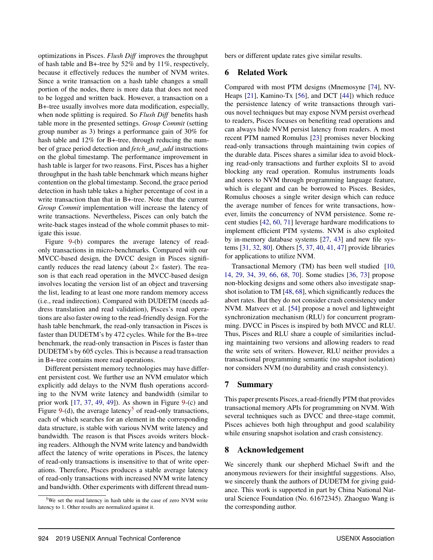optimizations in Pisces. *Flush Diff* improves the throughput of hash table and B+-tree by 52% and by 11%, respectively, because it effectively reduces the number of NVM writes. Since a write transaction on a hash table changes a small portion of the nodes, there is more data that does not need to be logged and written back. However, a transaction on a B+-tree usually involves more data modification, especially, when node splitting is required. So *Flush Diff* benefits hash table more in the presented settings. *Group Commit* (setting group number as 3) brings a performance gain of 30% for hash table and 12% for B+-tree, through reducing the number of grace period detection and *fetch\_and\_add* instructions on the global timestamp. The performance improvement in hash table is larger for two reasons. First, Pisces has a higher throughput in the hash table benchmark which means higher contention on the global timestamp. Second, the grace period detection in hash table takes a higher percentage of cost in a write transaction than that in B+-tree. Note that the current *Group Commit* implementation will increase the latency of write transactions. Nevertheless, Pisces can only batch the write-back stages instead of the whole commit phases to mitigate this issue.

Figure [9-](#page-11-2)(b) compares the average latency of readonly transactions in micro-benchmarks. Compared with our MVCC-based design, the DVCC design in Pisces significantly reduces the read latency (about  $2 \times$  faster). The reason is that each read operation in the MVCC-based design involves locating the version list of an object and traversing the list, leading to at least one more random memory access (i.e., read indirection). Compared with DUDETM (needs address translation and read validation), Pisces's read operations are also faster owing to the read-friendly design. For the hash table benchmark, the read-only transaction in Pisces is faster than DUDETM's by 472 cycles. While for the B+-tree benchmark, the read-only transaction in Pisces is faster than DUDETM's by 605 cycles. This is because a read transaction in B+-tree contains more read operations.

Different persistent memory technologies may have different persistent cost. We further use an NVM emulator which explicitly add delays to the NVM flush operations according to the NVM write latency and bandwidth (similar to prior work [\[17](#page-13-22), [37](#page-14-2), [49,](#page-14-4) [49\]](#page-14-4)). As shown in Figure [9-](#page-11-2)(c) and Figure [9-](#page-11-2)(d), the average latency<sup>5</sup> of read-only transactions, each of which searches for an element in the corresponding data structure, is stable with various NVM write latency and bandwidth. The reason is that Pisces avoids writers blocking readers. Although the NVM write latency and bandwidth affect the latency of write operations in Pisces, the latency of read-only transactions is insensitive to that of write operations. Therefore, Pisces produces a stable average latency of read-only transactions with increased NVM write latency and bandwidth. Other experiments with different thread num-

<sup>5</sup>We set the read latency in hash table in the case of zero NVM write latency to 1. Other results are normalized against it.

bers or different update rates give similar results.

#### 6 Related Work

Compared with most PTM designs (Mnemosyne [\[74](#page-16-1)], NV-Heaps [\[21](#page-13-4)], Kamino-Tx [\[56](#page-15-2)], and DCT [\[44\]](#page-14-3)) which reduce the persistence latency of write transactions through various novel techniques but may expose NVM persist overhead to readers, Pisces focuses on benefiting read operations and can always hide NVM persist latency from readers. A most recent PTM named Romulus [\[23\]](#page-13-16) promises never blocking read-only transactions through maintaining twin copies of the durable data. Pisces shares a similar idea to avoid blocking read-only transactions and further exploits SI to avoid blocking any read operation. Romulus instruments loads and stores to NVM through programming language feature, which is elegant and can be borrowed to Pisces. Besides, Romulus chooses a single writer design which can reduce the average number of fences for write transactions, however, limits the concurrency of NVM persistence. Some recent studies [\[42,](#page-14-14) [60](#page-15-21), [71](#page-15-22)] leverage hardware modifications to implement efficient PTM systems. NVM is also exploited by in-memory database systems [\[27](#page-13-23), [43](#page-14-15)] and new file systems [\[31](#page-14-16), [32](#page-14-17), [80](#page-16-7)]. Others [\[5,](#page-13-24) [37](#page-14-2), [40](#page-14-18), [41](#page-14-19), [47\]](#page-14-9) provide libraries for applications to utilize NVM.

Transactional Memory (TM) has been well studied [\[10,](#page-13-25) [14](#page-13-26), [29](#page-14-5), [34](#page-14-6), [39](#page-14-20), [66](#page-15-3), [68](#page-15-4), [70](#page-15-5)]. Some studies [\[36,](#page-14-21) [73\]](#page-16-8) propose non-blocking designs and some others also investigate snapshot isolation to TM [\[48](#page-14-10), [68\]](#page-15-4), which significantly reduces the abort rates. But they do not consider crash consistency under NVM. Matveev et al. [\[54](#page-15-10)] propose a novel and lightweight synchronization mechanism (RLU) for concurrent programming. DVCC in Pisces is inspired by both MVCC and RLU. Thus, Pisces and RLU share a couple of similarities including maintaining two versions and allowing readers to read the write sets of writers. However, RLU neither provides a transactional programming semantic (no snapshot isolation) nor considers NVM (no durability and crash consistency).

#### 7 Summary

This paper presents Pisces, a read-friendly PTM that provides transactional memory APIs for programming on NVM. With several techniques such as DVCC and three-stage commit, Pisces achieves both high throughput and good scalability while ensuring snapshot isolation and crash consistency.

#### 8 Acknowledgement

We sincerely thank our shepherd Michael Swift and the anonymous reviewers for their insightful suggestions. Also, we sincerely thank the authors of DUDETM for giving guidance. This work is supported in part by China National Natural Science Foundation (No. 61672345). Zhaoguo Wang is the corresponding author.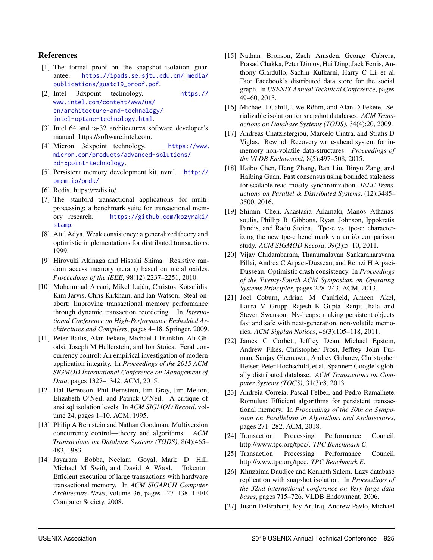#### References

- <span id="page-13-20"></span>[1] The formal proof on the snapshot isolation guarantee. [https://ipads.se.sjtu.edu.cn/\\_media/](https://ipads.se.sjtu.edu.cn/_media/publications/guatc19_proof.pdf) [publications/guatc19\\_proof.pdf](https://ipads.se.sjtu.edu.cn/_media/publications/guatc19_proof.pdf).
- <span id="page-13-1"></span>[2] Intel 3dxpoint technology. [https://](https://www.intel.com/content/www/us/en/architecture-and-technology/intel-optane-technology.html) [www.intel.com/content/www/us/](https://www.intel.com/content/www/us/en/architecture-and-technology/intel-optane-technology.html) [en/architecture-and-technology/](https://www.intel.com/content/www/us/en/architecture-and-technology/intel-optane-technology.html) [intel-optane-technology.html](https://www.intel.com/content/www/us/en/architecture-and-technology/intel-optane-technology.html).
- <span id="page-13-15"></span>[3] Intel 64 and ia-32 architectures software developer's manual. https://software.intel.com.
- <span id="page-13-2"></span>[4] Micron 3dxpoint technology. [https://www.](https://www.micron.com/products/advanced-solutions/3d-xpoint-technology) [micron.com/products/advanced-solutions/](https://www.micron.com/products/advanced-solutions/3d-xpoint-technology) [3d-xpoint-technology](https://www.micron.com/products/advanced-solutions/3d-xpoint-technology).
- <span id="page-13-24"></span>[5] Persistent memory development kit, nvml. [http://](http://pmem.io/pmdk/) [pmem.io/pmdk/](http://pmem.io/pmdk/).
- <span id="page-13-9"></span>[6] Redis. https://redis.io/.
- <span id="page-13-21"></span>[7] The stanford transactional applications for multiprocessing; a benchmark suite for transactional memory research. [https://github.com/kozyraki/](https://github.com/kozyraki/stamp) [stamp](https://github.com/kozyraki/stamp).
- <span id="page-13-7"></span>[8] Atul Adya. Weak consistency: a generalized theory and optimistic implementations for distributed transactions. 1999.
- <span id="page-13-0"></span>[9] Hiroyuki Akinaga and Hisashi Shima. Resistive random access memory (reram) based on metal oxides. *Proceedings of the IEEE*, 98(12):2237–2251, 2010.
- <span id="page-13-25"></span>[10] Mohammad Ansari, Mikel Luján, Christos Kotselidis, Kim Jarvis, Chris Kirkham, and Ian Watson. Steal-onabort: Improving transactional memory performance through dynamic transaction reordering. In *International Conference on High-Performance Embedded Architectures and Compilers*, pages 4–18. Springer, 2009.
- <span id="page-13-10"></span>[11] Peter Bailis, Alan Fekete, Michael J Franklin, Ali Ghodsi, Joseph M Hellerstein, and Ion Stoica. Feral concurrency control: An empirical investigation of modern application integrity. In *Proceedings of the 2015 ACM SIGMOD International Conference on Management of Data*, pages 1327–1342. ACM, 2015.
- <span id="page-13-8"></span>[12] Hal Berenson, Phil Bernstein, Jim Gray, Jim Melton, Elizabeth O'Neil, and Patrick O'Neil. A critique of ansi sql isolation levels. In *ACM SIGMOD Record*, volume 24, pages 1–10. ACM, 1995.
- <span id="page-13-12"></span>[13] Philip A Bernstein and Nathan Goodman. Multiversion concurrency control—theory and algorithms. *ACM Transactions on Database Systems (TODS)*, 8(4):465– 483, 1983.
- <span id="page-13-26"></span>[14] Jayaram Bobba, Neelam Goyal, Mark D Hill, Michael M Swift, and David A Wood. Tokentm: Efficient execution of large transactions with hardware transactional memory. In *ACM SIGARCH Computer Architecture News*, volume 36, pages 127–138. IEEE Computer Society, 2008.
- <span id="page-13-5"></span>[15] Nathan Bronson, Zach Amsden, George Cabrera, Prasad Chakka, Peter Dimov, Hui Ding, Jack Ferris, Anthony Giardullo, Sachin Kulkarni, Harry C Li, et al. Tao: Facebook's distributed data store for the social graph. In *USENIX Annual Technical Conference*, pages 49–60, 2013.
- <span id="page-13-19"></span>[16] Michael J Cahill, Uwe Röhm, and Alan D Fekete. Serializable isolation for snapshot databases. *ACM Transactions on Database Systems (TODS)*, 34(4):20, 2009.
- <span id="page-13-22"></span>[17] Andreas Chatzistergiou, Marcelo Cintra, and Stratis D Viglas. Rewind: Recovery write-ahead system for inmemory non-volatile data-structures. *Proceedings of the VLDB Endowment*, 8(5):497–508, 2015.
- <span id="page-13-13"></span>[18] Haibo Chen, Heng Zhang, Ran Liu, Binyu Zang, and Haibing Guan. Fast consensus using bounded staleness for scalable read-mostly synchronization. *IEEE Transactions on Parallel & Distributed Systems*, (12):3485– 3500, 2016.
- <span id="page-13-6"></span>[19] Shimin Chen, Anastasia Ailamaki, Manos Athanassoulis, Phillip B Gibbons, Ryan Johnson, Ippokratis Pandis, and Radu Stoica. Tpc-e vs. tpc-c: characterizing the new tpc-e benchmark via an i/o comparison study. *ACM SIGMOD Record*, 39(3):5–10, 2011.
- <span id="page-13-3"></span>[20] Vijay Chidambaram, Thanumalayan Sankaranarayana Pillai, Andrea C Arpaci-Dusseau, and Remzi H Arpaci-Dusseau. Optimistic crash consistency. In *Proceedings of the Twenty-Fourth ACM Symposium on Operating Systems Principles*, pages 228–243. ACM, 2013.
- <span id="page-13-4"></span>[21] Joel Coburn, Adrian M Caulfield, Ameen Akel, Laura M Grupp, Rajesh K Gupta, Ranjit Jhala, and Steven Swanson. Nv-heaps: making persistent objects fast and safe with next-generation, non-volatile memories. *ACM Sigplan Notices*, 46(3):105–118, 2011.
- <span id="page-13-17"></span>[22] James C Corbett, Jeffrey Dean, Michael Epstein, Andrew Fikes, Christopher Frost, Jeffrey John Furman, Sanjay Ghemawat, Andrey Gubarev, Christopher Heiser, Peter Hochschild, et al. Spanner: Google's globally distributed database. *ACM Transactions on Computer Systems (TOCS)*, 31(3):8, 2013.
- <span id="page-13-16"></span>[23] Andreia Correia, Pascal Felber, and Pedro Ramalhete. Romulus: Efficient algorithms for persistent transactional memory. In *Proceedings of the 30th on Symposium on Parallelism in Algorithms and Architectures*, pages 271–282. ACM, 2018.
- <span id="page-13-14"></span>[24] Transaction Processing Performance Council. http://www.tpc.org/tpcc/. *TPC Benchmark C*.
- <span id="page-13-18"></span>[25] Transaction Processing Performance Council. http://www.tpc.org/tpce. *TPC Benchmark E*.
- <span id="page-13-11"></span>[26] Khuzaima Daudjee and Kenneth Salem. Lazy database replication with snapshot isolation. In *Proceedings of the 32nd international conference on Very large data bases*, pages 715–726. VLDB Endowment, 2006.
- <span id="page-13-23"></span>[27] Justin DeBrabant, Joy Arulraj, Andrew Pavlo, Michael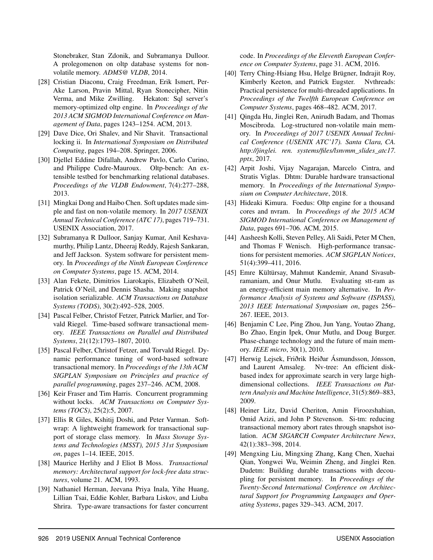Stonebraker, Stan Zdonik, and Subramanya Dulloor. A prolegomenon on oltp database systems for nonvolatile memory. *ADMS@ VLDB*, 2014.

- <span id="page-14-7"></span>[28] Cristian Diaconu, Craig Freedman, Erik Ismert, Per-Ake Larson, Pravin Mittal, Ryan Stonecipher, Nitin Verma, and Mike Zwilling. Hekaton: Sql server's memory-optimized oltp engine. In *Proceedings of the 2013 ACM SIGMOD International Conference on Management of Data*, pages 1243–1254. ACM, 2013.
- <span id="page-14-5"></span>[29] Dave Dice, Ori Shalev, and Nir Shavit. Transactional locking ii. In *International Symposium on Distributed Computing*, pages 194–208. Springer, 2006.
- <span id="page-14-12"></span>[30] Djellel Eddine Difallah, Andrew Pavlo, Carlo Curino, and Philippe Cudre-Mauroux. Oltp-bench: An extensible testbed for benchmarking relational databases. *Proceedings of the VLDB Endowment*, 7(4):277–288, 2013.
- <span id="page-14-16"></span>[31] Mingkai Dong and Haibo Chen. Soft updates made simple and fast on non-volatile memory. In *2017 USENIX Annual Technical Conference (ATC 17)*, pages 719–731. USENIX Association, 2017.
- <span id="page-14-17"></span>[32] Subramanya R Dulloor, Sanjay Kumar, Anil Keshavamurthy, Philip Lantz, Dheeraj Reddy, Rajesh Sankaran, and Jeff Jackson. System software for persistent memory. In *Proceedings of the Ninth European Conference on Computer Systems*, page 15. ACM, 2014.
- <span id="page-14-8"></span>[33] Alan Fekete, Dimitrios Liarokapis, Elizabeth O'Neil, Patrick O'Neil, and Dennis Shasha. Making snapshot isolation serializable. *ACM Transactions on Database Systems (TODS)*, 30(2):492–528, 2005.
- <span id="page-14-6"></span>[34] Pascal Felber, Christof Fetzer, Patrick Marlier, and Torvald Riegel. Time-based software transactional memory. *IEEE Transactions on Parallel and Distributed Systems*, 21(12):1793–1807, 2010.
- <span id="page-14-13"></span>[35] Pascal Felber, Christof Fetzer, and Torvald Riegel. Dynamic performance tuning of word-based software transactional memory. In *Proceedings of the 13th ACM SIGPLAN Symposium on Principles and practice of parallel programming*, pages 237–246. ACM, 2008.
- <span id="page-14-21"></span>[36] Keir Fraser and Tim Harris. Concurrent programming without locks. *ACM Transactions on Computer Systems (TOCS)*, 25(2):5, 2007.
- <span id="page-14-2"></span>[37] Ellis R Giles, Kshitij Doshi, and Peter Varman. Softwrap: A lightweight framework for transactional support of storage class memory. In *Mass Storage Systems and Technologies (MSST), 2015 31st Symposium on*, pages 1–14. IEEE, 2015.
- <span id="page-14-11"></span>[38] Maurice Herlihy and J Eliot B Moss. *Transactional memory: Architectural support for lock-free data structures*, volume 21. ACM, 1993.
- <span id="page-14-20"></span>[39] Nathaniel Herman, Jeevana Priya Inala, Yihe Huang, Lillian Tsai, Eddie Kohler, Barbara Liskov, and Liuba Shrira. Type-aware transactions for faster concurrent

code. In *Proceedings of the Eleventh European Conference on Computer Systems*, page 31. ACM, 2016.

- <span id="page-14-18"></span>[40] Terry Ching-Hsiang Hsu, Helge Brügner, Indrajit Roy, Kimberly Keeton, and Patrick Eugster. Nvthreads: Practical persistence for multi-threaded applications. In *Proceedings of the Twelfth European Conference on Computer Systems*, pages 468–482. ACM, 2017.
- <span id="page-14-19"></span>[41] Qingda Hu, Jinglei Ren, Anirudh Badam, and Thomas Moscibroda. Log-structured non-volatile main memory. In *Proceedings of 2017 USENIX Annual Technical Conference (USENIX ATC'17). Santa Clara, CA. http://jinglei. ren. systems/files/lsnvmm\_slides\_atc17. pptx*, 2017.
- <span id="page-14-14"></span>[42] Arpit Joshi, Vijay Nagarajan, Marcelo Cintra, and Stratis Viglas. Dhtm: Durable hardware transactional memory. In *Proceedings of the International Symposium on Computer Architecture*, 2018.
- <span id="page-14-15"></span>[43] Hideaki Kimura. Foedus: Oltp engine for a thousand cores and nvram. In *Proceedings of the 2015 ACM SIGMOD International Conference on Management of Data*, pages 691–706. ACM, 2015.
- <span id="page-14-3"></span>[44] Aasheesh Kolli, Steven Pelley, Ali Saidi, Peter M Chen, and Thomas F Wenisch. High-performance transactions for persistent memories. *ACM SIGPLAN Notices*, 51(4):399–411, 2016.
- <span id="page-14-1"></span>[45] Emre Kültürsay, Mahmut Kandemir, Anand Sivasubramaniam, and Onur Mutlu. Evaluating stt-ram as an energy-efficient main memory alternative. In *Performance Analysis of Systems and Software (ISPASS), 2013 IEEE International Symposium on*, pages 256– 267. IEEE, 2013.
- <span id="page-14-0"></span>[46] Benjamin C Lee, Ping Zhou, Jun Yang, Youtao Zhang, Bo Zhao, Engin Ipek, Onur Mutlu, and Doug Burger. Phase-change technology and the future of main memory. *IEEE micro*, 30(1), 2010.
- <span id="page-14-9"></span>[47] Herwig Lejsek, Friðrik Heiðar Ásmundsson, Jónsson, and Laurent Amsaleg. Nv-tree: An efficient diskbased index for approximate search in very large highdimensional collections. *IEEE Transactions on Pattern Analysis and Machine Intelligence*, 31(5):869–883, 2009.
- <span id="page-14-10"></span>[48] Heiner Litz, David Cheriton, Amin Firoozshahian, Omid Azizi, and John P Stevenson. Si-tm: reducing transactional memory abort rates through snapshot isolation. *ACM SIGARCH Computer Architecture News*, 42(1):383–398, 2014.
- <span id="page-14-4"></span>[49] Mengxing Liu, Mingxing Zhang, Kang Chen, Xuehai Qian, Yongwei Wu, Weimin Zheng, and Jinglei Ren. Dudetm: Building durable transactions with decoupling for persistent memory. In *Proceedings of the Twenty-Second International Conference on Architectural Support for Programming Languages and Operating Systems*, pages 329–343. ACM, 2017.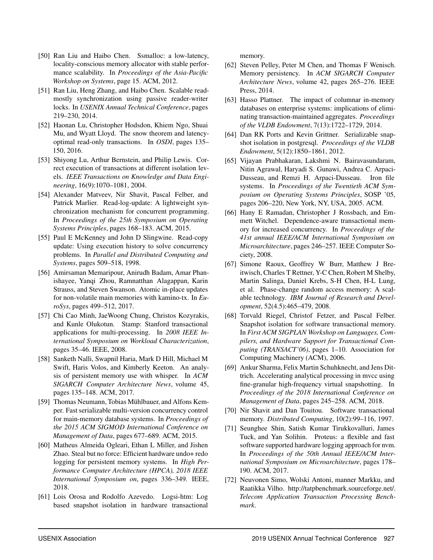- <span id="page-15-18"></span>[50] Ran Liu and Haibo Chen. Ssmalloc: a low-latency, locality-conscious memory allocator with stable performance scalability. In *Proceedings of the Asia-Pacific Workshop on Systems*, page 15. ACM, 2012.
- <span id="page-15-9"></span>[51] Ran Liu, Heng Zhang, and Haibo Chen. Scalable readmostly synchronization using passive reader-writer locks. In *USENIX Annual Technical Conference*, pages 219–230, 2014.
- <span id="page-15-6"></span>[52] Haonan Lu, Christopher Hodsdon, Khiem Ngo, Shuai Mu, and Wyatt Lloyd. The snow theorem and latencyoptimal read-only transactions. In *OSDI*, pages 135– 150, 2016.
- <span id="page-15-13"></span>[53] Shiyong Lu, Arthur Bernstein, and Philip Lewis. Correct execution of transactions at different isolation levels. *IEEE Transactions on Knowledge and Data Engineering*, 16(9):1070–1081, 2004.
- <span id="page-15-10"></span>[54] Alexander Matveev, Nir Shavit, Pascal Felber, and Patrick Marlier. Read-log-update: A lightweight synchronization mechanism for concurrent programming. In *Proceedings of the 25th Symposium on Operating Systems Principles*, pages 168–183. ACM, 2015.
- <span id="page-15-11"></span>[55] Paul E McKenney and John D Slingwine. Read-copy update: Using execution history to solve concurrency problems. In *Parallel and Distributed Computing and Systems*, pages 509–518, 1998.
- <span id="page-15-2"></span>[56] Amirsaman Memaripour, Anirudh Badam, Amar Phanishayee, Yanqi Zhou, Ramnatthan Alagappan, Karin Strauss, and Steven Swanson. Atomic in-place updates for non-volatile main memories with kamino-tx. In *EuroSys*, pages 499–512, 2017.
- <span id="page-15-19"></span>[57] Chi Cao Minh, JaeWoong Chung, Christos Kozyrakis, and Kunle Olukotun. Stamp: Stanford transactional applications for multi-processing. In *2008 IEEE International Symposium on Workload Characterization*, pages 35–46. IEEE, 2008.
- <span id="page-15-20"></span>[58] Sanketh Nalli, Swapnil Haria, Mark D Hill, Michael M Swift, Haris Volos, and Kimberly Keeton. An analysis of persistent memory use with whisper. In *ACM SIGARCH Computer Architecture News*, volume 45, pages 135–148. ACM, 2017.
- <span id="page-15-14"></span>[59] Thomas Neumann, Tobias Mühlbauer, and Alfons Kemper. Fast serializable multi-version concurrency control for main-memory database systems. In *Proceedings of the 2015 ACM SIGMOD International Conference on Management of Data*, pages 677–689. ACM, 2015.
- <span id="page-15-21"></span>[60] Matheus Almeida Ogleari, Ethan L Miller, and Jishen Zhao. Steal but no force: Efficient hardware undo+ redo logging for persistent memory systems. In *High Performance Computer Architecture (HPCA), 2018 IEEE International Symposium on*, pages 336–349. IEEE, 2018.
- <span id="page-15-8"></span>[61] Lois Orosa and Rodolfo Azevedo. Logsi-htm: Log based snapshot isolation in hardware transactional

memory.

- <span id="page-15-1"></span>[62] Steven Pelley, Peter M Chen, and Thomas F Wenisch. Memory persistency. In *ACM SIGARCH Computer Architecture News*, volume 42, pages 265–276. IEEE Press, 2014.
- <span id="page-15-7"></span>[63] Hasso Plattner. The impact of columnar in-memory databases on enterprise systems: implications of eliminating transaction-maintained aggregates. *Proceedings of the VLDB Endowment*, 7(13):1722–1729, 2014.
- <span id="page-15-15"></span>[64] Dan RK Ports and Kevin Grittner. Serializable snapshot isolation in postgresql. *Proceedings of the VLDB Endowment*, 5(12):1850–1861, 2012.
- <span id="page-15-17"></span>[65] Vijayan Prabhakaran, Lakshmi N. Bairavasundaram, Nitin Agrawal, Haryadi S. Gunawi, Andrea C. Arpaci-Dusseau, and Remzi H. Arpaci-Dusseau. Iron file systems. In *Proceedings of the Twentieth ACM Symposium on Operating Systems Principles*, SOSP '05, pages 206–220, New York, NY, USA, 2005. ACM.
- <span id="page-15-3"></span>[66] Hany E Ramadan, Christopher J Rossbach, and Emmett Witchel. Dependence-aware transactional memory for increased concurrency. In *Proceedings of the 41st annual IEEE/ACM International Symposium on Microarchitecture*, pages 246–257. IEEE Computer Society, 2008.
- <span id="page-15-0"></span>[67] Simone Raoux, Geoffrey W Burr, Matthew J Breitwisch, Charles T Rettner, Y-C Chen, Robert M Shelby, Martin Salinga, Daniel Krebs, S-H Chen, H-L Lung, et al. Phase-change random access memory: A scalable technology. *IBM Journal of Research and Development*, 52(4.5):465–479, 2008.
- <span id="page-15-4"></span>[68] Torvald Riegel, Christof Fetzer, and Pascal Felber. Snapshot isolation for software transactional memory. In *First ACM SIGPLAN Workshop on Languages, Compilers, and Hardware Support for Transactional Computing (TRANSACT'06)*, pages 1–10. Association for Computing Machinery (ACM), 2006.
- <span id="page-15-16"></span>[69] Ankur Sharma, Felix Martin Schuhknecht, and Jens Dittrich. Accelerating analytical processing in mvcc using fine-granular high-frequency virtual snapshotting. In *Proceedings of the 2018 International Conference on Management of Data*, pages 245–258. ACM, 2018.
- <span id="page-15-5"></span>[70] Nir Shavit and Dan Touitou. Software transactional memory. *Distributed Computing*, 10(2):99–116, 1997.
- <span id="page-15-22"></span>[71] Seunghee Shin, Satish Kumar Tirukkovalluri, James Tuck, and Yan Solihin. Proteus: a flexible and fast software supported hardware logging approach for nvm. In *Proceedings of the 50th Annual IEEE/ACM International Symposium on Microarchitecture*, pages 178– 190. ACM, 2017.
- <span id="page-15-12"></span>[72] Neuvonen Simo, Wolski Antoni, manner Markku, and Raatikka Vilho. http://tatpbenchmark.sourceforge.net/. *Telecom Application Transaction Processing Benchmark*.